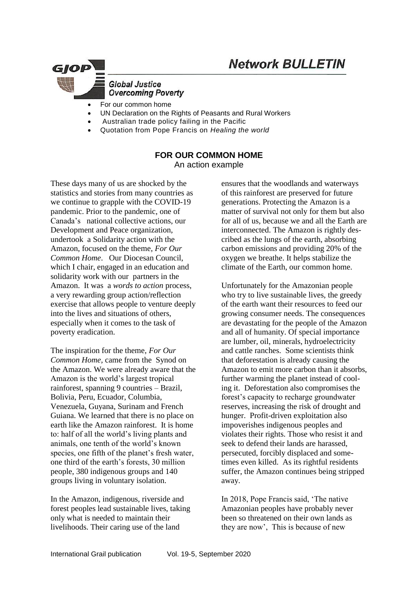

## **Global Justice Overcoming Poverty**

- For our common home
- UN Declaration on the Rights of Peasants and Rural Workers
- Australian trade policy failing in the Pacific
- Quotation from Pope Francis on *Healing the world*

## **FOR OUR COMMON HOME**

An action example

These days many of us are shocked by the statistics and stories from many countries as we continue to grapple with the COVID-19 pandemic. Prior to the pandemic, one of Canada's national collective actions, our Development and Peace organization, undertook a Solidarity action with the Amazon, focused on the theme, *For Our Common Home*. Our Diocesan Council, which I chair, engaged in an education and solidarity work with our partners in the Amazon. It was a *words to action* process, a very rewarding group action/reflection exercise that allows people to venture deeply into the lives and situations of others, especially when it comes to the task of poverty eradication.

The inspiration for the theme, *For Our Common Home,* came from the Synod on the Amazon. We were already aware that the Amazon is the world's largest tropical rainforest, spanning 9 countries – Brazil, Bolivia, Peru, Ecuador, Columbia, Venezuela, Guyana, Surinam and French Guiana. We learned that there is no place on earth like the Amazon rainforest. It is home to: half of all the world's living plants and animals, one tenth of the world's known species, one fifth of the planet's fresh water, one third of the earth's forests, 30 million people, 380 indigenous groups and 140 groups living in voluntary isolation.

In the Amazon, indigenous, riverside and forest peoples lead sustainable lives, taking only what is needed to maintain their livelihoods. Their caring use of the land

ensures that the woodlands and waterways of this rainforest are preserved for future generations. Protecting the Amazon is a matter of survival not only for them but also for all of us, because we and all the Earth are interconnected. The Amazon is rightly described as the lungs of the earth, absorbing carbon emissions and providing 20% of the oxygen we breathe. It helps stabilize the climate of the Earth, our common home.

Unfortunately for the Amazonian people who try to live sustainable lives, the greedy of the earth want their resources to feed our growing consumer needs. The consequences are devastating for the people of the Amazon and all of humanity. Of special importance are lumber, oil, minerals, hydroelectricity and cattle ranches. Some scientists think that deforestation is already causing the Amazon to emit more carbon than it absorbs, further warming the planet instead of cooling it. Deforestation also compromises the forest's capacity to recharge groundwater reserves, increasing the risk of drought and hunger. Profit-driven exploitation also impoverishes indigenous peoples and violates their rights. Those who resist it and seek to defend their lands are harassed, persecuted, forcibly displaced and sometimes even killed. As its rightful residents suffer, the Amazon continues being stripped away.

In 2018, Pope Francis said, 'The native Amazonian peoples have probably never been so threatened on their own lands as they are now', This is because of new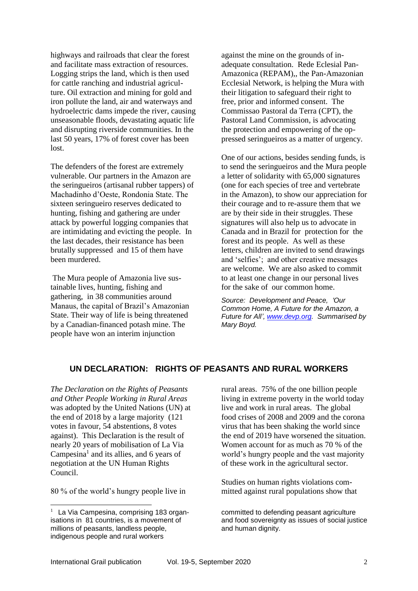highways and railroads that clear the forest and facilitate mass extraction of resources. Logging strips the land, which is then used for cattle ranching and industrial agriculture. Oil extraction and mining for gold and iron pollute the land, air and waterways and hydroelectric dams impede the river, causing unseasonable floods, devastating aquatic life and disrupting riverside communities. In the last 50 years, 17% of forest cover has been lost.

The defenders of the forest are extremely vulnerable. Our partners in the Amazon are the seringueiros (artisanal rubber tappers) of Machadinho d'Oeste, Rondonia State. The sixteen seringueiro reserves dedicated to hunting, fishing and gathering are under attack by powerful logging companies that are intimidating and evicting the people. In the last decades, their resistance has been brutally suppressed and 15 of them have been murdered.

The Mura people of Amazonia live sustainable lives, hunting, fishing and gathering, in 38 communities around Manaus, the capital of Brazil's Amazonian State. Their way of life is being threatened by a Canadian-financed potash mine. The people have won an interim injunction

against the mine on the grounds of inadequate consultation. Rede Eclesial Pan-Amazonica (REPAM),, the Pan-Amazonian Ecclesial Network, is helping the Mura with their litigation to safeguard their right to free, prior and informed consent. The Commissao Pastoral da Terra (CPT), the Pastoral Land Commission, is advocating the protection and empowering of the oppressed seringueiros as a matter of urgency.

One of our actions, besides sending funds, is to send the seringueiros and the Mura people a letter of solidarity with 65,000 signatures (one for each species of tree and vertebrate in the Amazon), to show our appreciation for their courage and to re-assure them that we are by their side in their struggles. These signatures will also help us to advocate in Canada and in Brazil for protection for the forest and its people. As well as these letters, children are invited to send drawings and 'selfies'; and other creative messages are welcome. We are also asked to commit to at least one change in our personal lives for the sake of our common home.

*Source: Development and Peace, 'Our Common Home, A Future for the Amazon, a Future for All', [www.devp.org.](http://www.devp.org/) Summarised by Mary Boyd.*

## **UN DECLARATION: RIGHTS OF PEASANTS AND RURAL WORKERS**

*The Declaration on the Rights of Peasants and Other People Working in Rural Areas* was adopted by the United Nations (UN) at the end of 2018 by a large majority (121 votes in favour, 54 abstentions, 8 votes against). This Declaration is the result of nearly 20 years of mobilisation of La Via Campesina<sup>1</sup> and its allies, and 6 years of negotiation at the UN Human Rights Council.

80 % of the world's hungry people live in

1

rural areas. 75% of the one billion people living in extreme poverty in the world today live and work in rural areas. The global food crises of 2008 and 2009 and the corona virus that has been shaking the world since the end of 2019 have worsened the situation. Women account for as much as 70 % of the world's hungry people and the vast majority of these work in the agricultural sector.

Studies on human rights violations committed against rural populations show that

committed to defending peasant agriculture and food sovereignty as issues of social justice and human dignity.

<sup>&</sup>lt;sup>1</sup> La Via Campesina, comprising 183 organisations in 81 countries, is a movement of millions of peasants, landless people, indigenous people and rural workers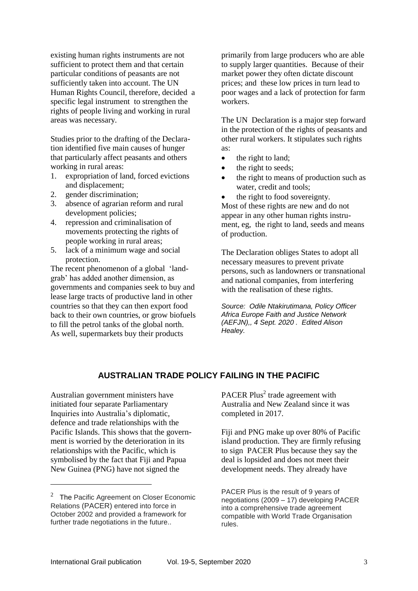existing human rights instruments are not sufficient to protect them and that certain particular conditions of peasants are not sufficiently taken into account. The UN Human Rights Council, therefore, decided a specific legal instrument to strengthen the rights of people living and working in rural areas was necessary.

Studies prior to the drafting of the Declaration identified five main causes of hunger that particularly affect peasants and others working in rural areas:

- 1. expropriation of land, forced evictions and displacement;
- 2. gender discrimination;
- 3. absence of agrarian reform and rural development policies;
- 4. repression and criminalisation of movements protecting the rights of people working in rural areas;
- 5. lack of a minimum wage and social protection.

The recent phenomenon of a global 'landgrab' has added another dimension, as governments and companies seek to buy and lease large tracts of productive land in other countries so that they can then export food back to their own countries, or grow biofuels to fill the petrol tanks of the global north. As well, supermarkets buy their products

primarily from large producers who are able to supply larger quantities. Because of their market power they often dictate discount prices; and these low prices in turn lead to poor wages and a lack of protection for farm workers.

The UN Declaration is a major step forward in the protection of the rights of peasants and other rural workers. It stipulates such rights as:

- the right to land;
- the right to seeds;
- the right to means of production such as water, credit and tools;
- the right to food sovereignty.

Most of these rights are new and do not appear in any other human rights instrument, eg, the right to land, seeds and means of production.

The Declaration obliges States to adopt all necessary measures to prevent private persons, such as landowners or transnational and national companies, from interfering with the realisation of these rights.

*Source: Odile Ntakirutimana, Policy Officer Africa Europe Faith and Justice Network (AEFJN),, 4 Sept. 2020 . Edited Alison Healey.*

## **AUSTRALIAN TRADE POLICY FAILING IN THE PACIFIC**

Australian government ministers have initiated four separate Parliamentary Inquiries into Australia's diplomatic, defence and trade relationships with the Pacific Islands. This shows that the government is worried by the deterioration in its relationships with the Pacific, which is symbolised by the fact that Fiji and Papua New Guinea (PNG) have not signed the

1

PACER Plus<sup>2</sup> trade agreement with Australia and New Zealand since it was completed in 2017.

Fiji and PNG make up over 80% of Pacific island production. They are firmly refusing to sign PACER Plus because they say the deal is lopsided and does not meet their development needs. They already have

PACER Plus is the result of 9 years of negotiations (2009 – 17) developing PACER into a comprehensive trade agreement compatible with World Trade Organisation rules.

 $2$  The Pacific Agreement on Closer Economic Relations (PACER) entered into force in October 2002 and provided a framework for further trade negotiations in the future..